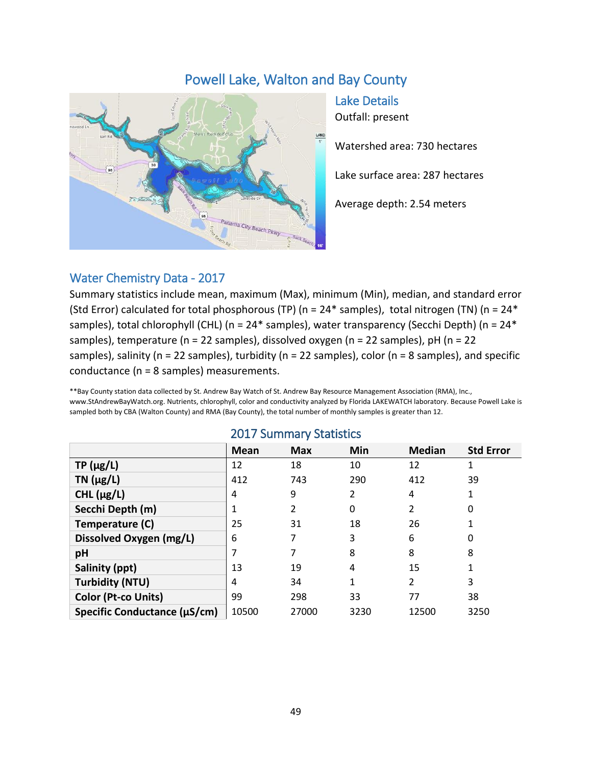# Powell Lake, Walton and Bay County



Lake Details Outfall: present

Watershed area: 730 hectares

Lake surface area: 287 hectares

Average depth: 2.54 meters

### Water Chemistry Data - 2017

Summary statistics include mean, maximum (Max), minimum (Min), median, and standard error (Std Error) calculated for total phosphorous (TP) ( $n = 24*$  samples), total nitrogen (TN) ( $n = 24*$ samples), total chlorophyll (CHL) (n = 24\* samples), water transparency (Secchi Depth) (n = 24\* samples), temperature (n = 22 samples), dissolved oxygen (n = 22 samples), pH (n = 22 samples), salinity (n = 22 samples), turbidity (n = 22 samples), color (n = 8 samples), and specific conductance (n = 8 samples) measurements.

\*\*Bay County station data collected by St. Andrew Bay Watch of St. Andrew Bay Resource Management Association (RMA), Inc., www.StAndrewBayWatch.org. Nutrients, chlorophyll, color and conductivity analyzed by Florida LAKEWATCH laboratory. Because Powell Lake is sampled both by CBA (Walton County) and RMA (Bay County), the total number of monthly samples is greater than 12.

|                              | Mean  | <b>Max</b> | Min  | <b>Median</b>  | <b>Std Error</b> |
|------------------------------|-------|------------|------|----------------|------------------|
| $TP(\mu g/L)$                | 12    | 18         | 10   | 12             |                  |
| TN $(\mu g/L)$               | 412   | 743        | 290  | 412            | 39               |
| CHL $(\mu g/L)$              | 4     | 9          | 2    | 4              |                  |
| Secchi Depth (m)             |       | 2          | 0    | 2              | 0                |
| Temperature (C)              | 25    | 31         | 18   | 26             |                  |
| Dissolved Oxygen (mg/L)      | 6     |            | 3    | 6              | 0                |
| pH                           |       |            | 8    | 8              | 8                |
| Salinity (ppt)               | 13    | 19         | 4    | 15             | 1                |
| <b>Turbidity (NTU)</b>       | 4     | 34         | 1    | $\overline{2}$ | 3                |
| Color (Pt-co Units)          | 99    | 298        | 33   | 77             | 38               |
| Specific Conductance (µS/cm) | 10500 | 27000      | 3230 | 12500          | 3250             |

#### 2017 Summary Statistics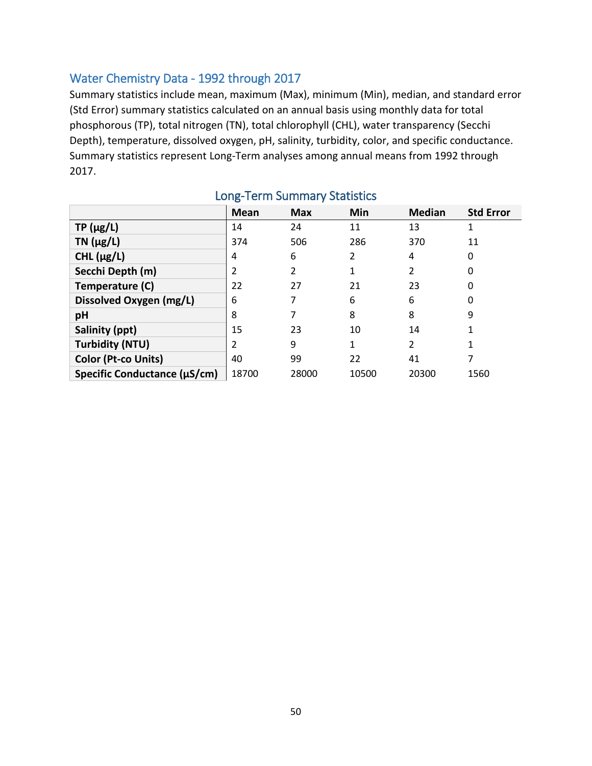## Water Chemistry Data - 1992 through 2017

Summary statistics include mean, maximum (Max), minimum (Min), median, and standard error (Std Error) summary statistics calculated on an annual basis using monthly data for total phosphorous (TP), total nitrogen (TN), total chlorophyll (CHL), water transparency (Secchi Depth), temperature, dissolved oxygen, pH, salinity, turbidity, color, and specific conductance. Summary statistics represent Long-Term analyses among annual means from 1992 through 2017.

|                              | <b>Mean</b> | <b>Max</b> | Min   | <b>Median</b> | <b>Std Error</b> |
|------------------------------|-------------|------------|-------|---------------|------------------|
| $TP(\mu g/L)$                | 14          | 24         | 11    | 13            |                  |
| TN $(\mu g/L)$               | 374         | 506        | 286   | 370           | 11               |
| CHL $(\mu g/L)$              | 4           | 6          | 2     | 4             | 0                |
| Secchi Depth (m)             | 2           | 2          | 1     | 2             | 0                |
| Temperature (C)              | 22          | 27         | 21    | 23            | 0                |
| Dissolved Oxygen (mg/L)      | 6           |            | 6     | 6             | 0                |
| pH                           | 8           |            | 8     | 8             | 9                |
| Salinity (ppt)               | 15          | 23         | 10    | 14            |                  |
| <b>Turbidity (NTU)</b>       | 2           | 9          | 1     | 2             |                  |
| Color (Pt-co Units)          | 40          | 99         | 22    | 41            |                  |
| Specific Conductance (µS/cm) | 18700       | 28000      | 10500 | 20300         | 1560             |

# Long-Term Summary Statistics